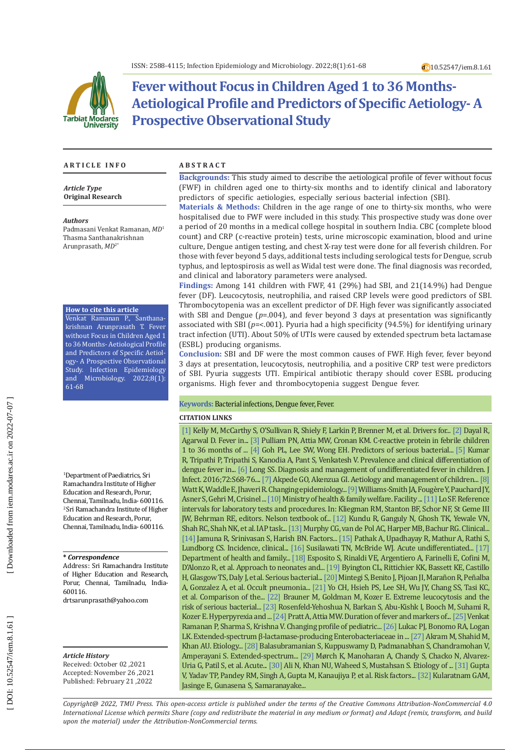

# **Fever without Focus in Children Aged 1 to 36 Months-Aetiological Profile and Predictors of Specific Aetiology- A Prospective Observational Study**

#### **A R T I C L E I N F O A B S T R A C T**

*Article Type* **Original Research**

#### *Authors*

Padmasani Venkat Ramanan, *MD* 1 Thasma Santhanakrishnan Arunprasath, *MD* 2 \*

#### **How to cite this article**

Venkat Ramanan P., Santhana krishnan Arunprasath T. Fever without Focus in Children Aged 1 to 36 Months- Aetiological Profile and Predictors of Specific Aetiol ogy- A Prospective Observational Study. Infection Epidemiology and Microbiology. 2022;8(1): 61-68

1 Department of Paediatrics, Sri Ramachandra Institute of Higher Education and Research, Porur, Chennai, Tamilnadu, India- 600116. 2 Sri Ramachandra Institute of Higher Education and Research, Porur, Chennai, Tamilnadu, India- 600116.

#### **\*** *Correspondence*

Address: Sri Ramachandra Institute of Higher Education and Research, Porur, Chennai, Tamilnadu, India-600116.

[drtsarunprasath@yahoo.com](mailto:drtsarunprasath@yahoo.com)

*Article History* Received: October 02 ,2021 Accepted: November 26 ,2021 Published: February 21 ,2022

**Backgrounds:** This study aimed to describe the aetiological profile of fever without focus (FWF) in children aged one to thirty-six months and to identify clinical and laboratory predictors of specific aetiologies, especially serious bacterial infection (SBI).

**Materials & Methods:** Children in the age range of one to thirty-six months, who were hospitalised due to FWF were included in this study. This prospective study was done over a period of 20 months in a medical college hospital in southern India. CBC (complete blood count) and CRP (c-reactive protein) tests, urine microscopic examination, blood and urine culture, Dengue antigen testing, and chest X-ray test were done for all feverish children. For those with fever beyond 5 days, additional tests including serological tests for Dengue, scrub typhus, and leptospirosis as well as Widal test were done. The final diagnosis was recorded, and clinical and laboratory parameters were analysed.

**Findings:** Among 141 children with FWF, 41 (29%) had SBI, and 21(14.9%) had Dengue fever (DF). Leucocytosis, neutrophilia, and raised CRP levels were good predictors of SBI. Thrombocytopenia was an excellent predictor of DF. High fever was significantly associated with SBI and Dengue ( *p*=.004), and fever beyond 3 days at presentation was significantly associated with SBI ( *p*=<.001). Pyuria had a high specificity (94.5%) for identifying urinary tract infection (UTI). About 50% of UTIs were caused by extended spectrum beta lactamase (ESBL) producing organisms.

**Conclusion:** SBI and DF were the most common causes of FWF. High fever, fever beyond 3 days at presentation, leucocytosis, neutrophilia, and a positive CRP test were predictors of SBI. Pyuria suggests UTI. Empirical antibiotic therapy should cover ESBL producing organisms. High fever and thrombocytopenia suggest Dengue fever.

#### **Keywords:** Bacterial infections, Dengue fever, Fever.

#### **CITATION LINKS**

[\[1\]](https://idp.springer.com/authorize/casa?redirect_uri=https://link.springer.com/article/10.1007/s11096-016-0333-2&casa_token=GIVuocY9iDUAAAAA:zWA8m74pyinOeFA44E6Q60ZAE1kQHGFNwcpiQ-stkT0iqC77FtQWQ558a-n8Ub8MivWbNel6UzP7Mky_LQ) Kelly M, McCarthy S, O'Sullivan R, Shiely F, Larkin P, Brenner M, et al. Drivers for... [\[2\]](https://idp.springer.com/authorize/casa?redirect_uri=https://link.springer.com/article/10.1007/s12098-015-1724-4&casa_token=u5J5LbGYxXMAAAAA:l9vxD1a02Izd_DHbu3ZqdZTsxM3YDDOlGpptUzGwsp2iunXYntZbItcf_15FKVI35IXjmN49FeISNWskPA) Dayal R, Agarwal D. Fever in... [\[3\]](https://www.publications.aap.org/pediatrics/article-split/108/6/1275/63619/C-Reactive-Protein-in-Febrile-Children-1-to-36) Pulliam PN, Attia MW, Cronan KM. C-reactive protein in febrile children 1 to 36 months of ... [\[4\]](https://pubmed.ncbi.nlm.nih.gov/16572237/) Goh PL, Lee SW, Wong EH. Predictors of serious bacterial... [\[5\]](https://link.springer.com/article/10.1007/s15010-008-7172-6) Kumar R, Tripathi P, Tripathi S, Kanodia A, Pant S, Venkatesh V. Prevalence and clinical differentiation of dengue fever in... [\[6\]](https://www.sciencedirect.com/science/article/pii/S0163445316300524) Long SS. Diagnosis and management of undifferentiated fever in children. J Infect. 2016;72:S68-76.... [\[7\]](https://link.springer.com/article/10.2165/00128072-200103030-00002) Akpede GO, Akenzua GI. Aetiology and management of children... [\[8\]](https://pubmed.ncbi.nlm.nih.gov/20805983/) Watt K, Waddle E, Jhaveri R. Changing epidemiology... [\[9\]](https://www.sciencedirect.com/science/article/pii/S0929693X20301652) Williams-Smith JA, Fougère Y, Pauchard JY, Asner S, Gehri M, Crisinel ... [\[10\]](https://nhm.gov.in/images/pdf/programmes/child-health/guidelines/imnci_chart_booklet.pdf) Ministry of health & family welfare. Facility ... [\[11\]](https://evolve.elsevier.com/cs/product/9780323428446?role=student) Lo SF. Reference intervals for laboratory tests and procedures. In: Kliegman RM, Stanton BF, Schor NF, St Geme III JW, Behrman RE, editors. Nelson textbook of... [\[12\]](https://pubmed.ncbi.nlm.nih.gov/17079830/) Kundu R, Ganguly N, Ghosh TK, Yewale VN, Shah RC, Shah NK, et al. IAP task... [\[13\]](https://onlinelibrary.wiley.com/doi/abs/10.1197/j.aem.2006.08.022) Murphy CG, van de Pol AC, Harper MB, Bachur RG. Clinical... [\[14\]](https://link.springer.com/article/10.1007/BF02723923) Jamuna R, Srinivasan S, Harish BN. Factors... [\[15\]](https://link.springer.com/article/10.1186/s12879-020-4890-6) Pathak A, Upadhayay R, Mathur A, Rathi S, Lundborg CS. Incidence, clinical... [\[16\]](https://www.tm.mahidol.ac.th/seameo/2014-45-3-full/22-5860-22.pdf) Susilawati TN, McBride WJ. Acute undifferentiated... [\[17\]](https://nhm.gov.in/New_Updates_2018/NHM_Components/Immunization/report/National_%20Immunization_Schedule.pdf) Department of health and family... [\[18\]](https://www.hindawi.com/journals/mi/2018/4869329/) Esposito S, Rinaldi VE, Argentiero A, Farinelli E, Cofini M, D'Alonzo R, et al. Approach to neonates and... [\[19\]](https://www.publications.aap.org/pediatrics/article-split/111/5/964/63261/Serious-Bacterial-Infections-in-Febrile-Infants) Byington CL, Rittichier KK, Bassett KE, Castillo H, Glasgow TS, Daly J, et al. Serious bacterial... [\[20\]](https://journals.lww.com/pec-online/Fulltext/2010/07000/Fever_without_apparent_source_on_clinical.00002.aspx) Mintegi S, Benito J, Pijoan JI, Marañon R, Peñalba A, Gonzalez A, et al. Occult pneumonia... [\[21\]](https://www.sciencedirect.com/science/article/pii/S0196064412005203) Yo CH, Hsieh PS, Lee SH, Wu JY, Chang SS, Tasi KC, et al. Comparison of the... [\[22\]](https://adc.bmj.com/content/95/3/209.abstract) Brauner M, Goldman M, Kozer E. Extreme leucocytosis and the risk of serious bacterial... [\[23\]](https://idp.springer.com/authorize/casa?redirect_uri=https://link.springer.com/article/10.1007/s00431-018-3098-x&casa_token=bPxsHfcPWc8AAAAA:j85Z96yTYgJ2w9ayhRdLFCMvy4BhON_MMkI8E-as0l5ToxTwzSGG1STapxkoZ_z0UrfmhH3avu5ppFFC5A) Rosenfeld-Yehoshua N, Barkan S, Abu-Kishk I, Booch M, Suhami R, Kozer E. Hyperpyrexia and ... [\[24\]](https://onlinelibrary.wiley.com/doi/abs/10.1111/j.1442-200X.2007.02316.x?casa_token=kqTA1UmUXMYAAAAA:cJ2nbKDPHD0zle0eU9DAewTY07l0a6rc4P0EvZ-_R5u5_YPHvF-Mv9nXTikmRHri3NlRQdzmqSA_uGU) Pratt A, Attia MW. Duration of fever and markers of... [\[25\]](https://academic.oup.com/tropej/article-abstract/60/6/483/2843030) Venkat Ramanan P, Sharma S, Krishna V. Changing profile of pediatric... [\[26\]](https://academic.oup.com/cid/article-abstract/60/9/1389/404429) Lukac PJ, Bonomo RA, Logan LK. Extended-spectrum β-lactamase-producing Enterobacteriaceae in ... [\[27\]](https://ann-clinmicrob.biomedcentral.com/articles/10.1186/1476-0711-6-4) Akram M, Shahid M, Khan AU. Etiology... [\[28\]](https://www.ncbi.nlm.nih.gov/pmc/articles/PMC6276311/) Balasubramanian S, Kuppuswamy D, Padmanabhan S, Chandramohan V, Amperayani S. Extended-spectrum... [\[29\]](https://link.springer.com/article/10.1186/s12879-017-2764-3) Mørch K, Manoharan A, Chandy S, Chacko N, Alvarez-Uria G, Patil S, et al. Acute... [\[30\]](https://www.ncbi.nlm.nih.gov/pmc/articles/PMC7501039/) Ali N, Khan NU, Waheed S, Mustahsan S. Etiology of ... [\[31\]](https://academic.oup.com/tropej/article-abstract/57/6/451/1736682) Gupta V, Yadav TP, Pandey RM, Singh A, Gupta M, Kanaujiya P, et al. Risk factors... [\[32\]](https://bmcpediatr.biomedcentral.com/articles/10.1186/s12887-019-1451-5) Kularatnam GAM, Jasinge E, Gunasena S, Samaranayake...

*Copyright@ 2022, TMU Press. This open-access article is published under the terms of the Creative Commons Attribution-NonCommercial 4.0 International License which permits Share (copy and redistribute the material in any medium or format) and Adapt (remix, transform, and build upon the material) under the Attribution-NonCommercial terms.*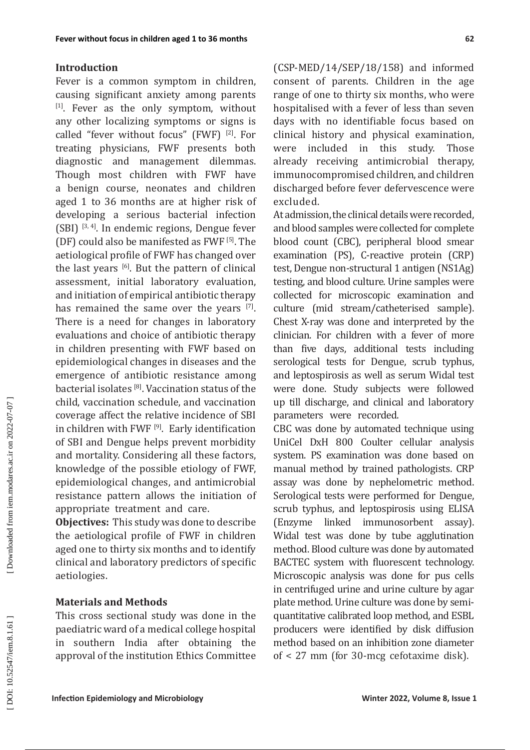#### **Introduction**

Fever is a common symptom in children, causing significant anxiety among parents [1]. Fever as the only symptom, without any other localizing symptoms or signs is called "fever without focus" (FWF) [2]. For treating physicians, FWF presents both diagnostic and management dilemmas. Though most children with FWF have a benign course, neonates and children aged 1 to 36 months are at higher risk of developing a serious bacterial infection (SBI) [3, 4]. In endemic regions, Dengue fever (DF) could also be manifested as FWF [5]. The aetiological profile of FWF has changed over the last years [6]. But the pattern of clinical assessment, initial laboratory evaluation, and initiation of empirical antibiotic therapy has remained the same over the years [7]. There is a need for changes in laboratory evaluations and choice of antibiotic therapy in children presenting with FWF based on epidemiological changes in diseases and the emergence of antibiotic resistance among bacterial isolates [8]. Vaccination status of the child, vaccination schedule, and vaccination coverage affect the relative incidence of SBI in children with FWF [9]. Early identification of SBI and Dengue helps prevent morbidity and mortality. Considering all these factors, knowledge of the possible etiology of FWF, epidemiological changes, and antimicrobial resistance pattern allows the initiation of appropriate treatment and care.

**Objectives:** This study was done to describe the aetiological profile of FWF in children aged one to thirty six months and to identify clinical and laboratory predictors of specific aetiologies.

#### **Materials and Methods**

This cross sectional study was done in the paediatric ward of a medical college hospital in southern India after obtaining the approval of the institution Ethics Committee (CSP-MED/14/SEP/18/158) and informed consent of parents. Children in the age range of one to thirty six months, who were hospitalised with a fever of less than seven days with no identifiable focus based on clinical history and physical examination, were included in this study. Those already receiving antimicrobial therapy, immunocompromised children, and children discharged before fever defervescence were excluded.

At admission, the clinical details were recorded, and blood samples were collected for complete blood count (CBC), peripheral blood smear examination (PS), C-reactive protein (CRP) test, Dengue non-structural 1 antigen (NS1Ag) testing, and blood culture. Urine samples were collected for microscopic examination and culture (mid stream/catheterised sample). Chest X-ray was done and interpreted by the clinician. For children with a fever of more than five days, additional tests including serological tests for Dengue, scrub typhus, and leptospirosis as well as serum Widal test were done. Study subjects were followed up till discharge, and clinical and laboratory parameters were recorded.

CBC was done by automated technique using UniCel DxH 800 Coulter cellular analysis system. PS examination was done based on manual method by trained pathologists. CRP assay was done by nephelometric method. Serological tests were performed for Dengue, scrub typhus, and leptospirosis using ELISA (Enzyme linked immunosorbent assay). Widal test was done by tube agglutination method. Blood culture was done by automated BACTEC system with fluorescent technology. Microscopic analysis was done for pus cells in centrifuged urine and urine culture by agar plate method. Urine culture was done by semiquantitative calibrated loop method, and ESBL producers were identified by disk diffusion method based on an inhibition zone diameter of < 27 mm (for 30-mcg cefotaxime disk).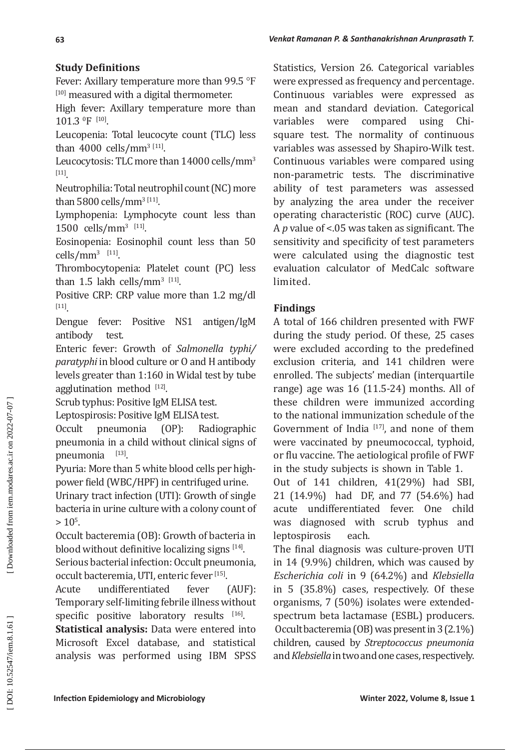## **Study Definitions**

Fever: Axillary temperature more than 99.5 °F [10] measured with a digital thermometer.

High fever: Axillary temperature more than  $101.3$  <sup>o</sup>F <sup>[10]</sup>.

Leucopenia: Total leucocyte count (TLC) less than 4000 cells/mm<sup>3 [11]</sup>.

Leucocytosis: TLC more than 14000 cells/mm 3 [11] .

Neutrophilia: Total neutrophil count (NC) more than 5800 cells/ $\text{mm}^{\text{3 [11]}}$ .

Lymphopenia: Lymphocyte count less than  $1500$  cells/mm<sup>3 [11]</sup>.

Eosinopenia: Eosinophil count less than 50  $\text{cells/mm}^3$  [11].

Thrombocytopenia: Platelet count (PC) less than 1.5 lakh cells/mm<sup>3 [11]</sup>.

Positive CRP: CRP value more than 1.2 mg/dl [11] .

Dengue fever: Positive NS1 antigen/IgM antibody

Enteric fever: Growth of *Salmonella typhi/ paratyphi* in blood culture or O and H antibody levels greater than 1:160 in Widal test by tube agglutination method  $[12]$ .

Scrub typhus: Positive IgM ELISA test.

Leptospirosis: Positive IgM ELISA test.

Occult pneumonia (OP): Radiographic pneumonia in a child without clinical signs of pneumonia <sup>[13]</sup>.

Pyuria: More than 5 white blood cells per highpower field (WBC/HPF) in centrifuged urine.

Urinary tract infection (UTI): Growth of single bacteria in urine culture with a colony count of  $> 10^5$ .

Occult bacteremia (OB): Growth of bacteria in blood without definitive localizing signs  $[14]$ . Serious bacterial infection: Occult pneumonia, occult bacteremia, UTI, enteric fever <sup>[15]</sup>.

Acute undifferentiated fever (AUF): Temporary self-limiting febrile illness without specific positive laboratory results  $[16]$ .

**Statistical analysis:** Data were entered into Microsoft Excel database, and statistical analysis was performed using IBM SPSS

Statistics, Version 26. Categorical variables were expressed as frequency and percentage. Continuous variables were expressed as mean and standard deviation. Categorical<br>variables were compared using Chiwere compared using Chisquare test. The normality of continuous variables was assessed by Shapiro-Wilk test. Continuous variables were compared using non-parametric tests. The discriminative ability of test parameters was assessed by analyzing the area under the receiver operating characteristic (ROC) curve (AUC). A *p* value of <.05 was taken as significant. The sensitivity and specificity of test parameters were calculated using the diagnostic test evaluation calculator of MedCalc software limited.

## **Findings**

A total of 166 children presented with FWF during the study period. Of these, 25 cases were excluded according to the predefined exclusion criteria, and 141 children were enrolled. The subjects' median (interquartile range) age was 16 (11.5-24) months. All of these children were immunized according to the national immunization schedule of the Government of India  $[17]$ , and none of them were vaccinated by pneumococcal, typhoid, or flu vaccine. The aetiological profile of FWF in the study subjects is shown in Table 1.

Out of 141 children, 41(29%) had SBI, 21 (14.9%) had DF, and 77 (54.6%) had acute undifferentiated fever. One child was diagnosed with scrub typhus and<br>lentosnirosis each. leptospirosis

The final diagnosis was culture-proven UTI in 14 (9.9%) children, which was caused by *Escherichia coli* in 9 (64.2%) and *Klebsiella* in 5 (35.8%) cases, respectively. Of these organisms, 7 (50%) isolates were extendedspectrum beta lactamase (ESBL) producers. Occult bacteremia (OB) was present in 3 (2.1%) children, caused by *Streptococcus pneumonia* and *Klebsiella* in two and one cases, respectively.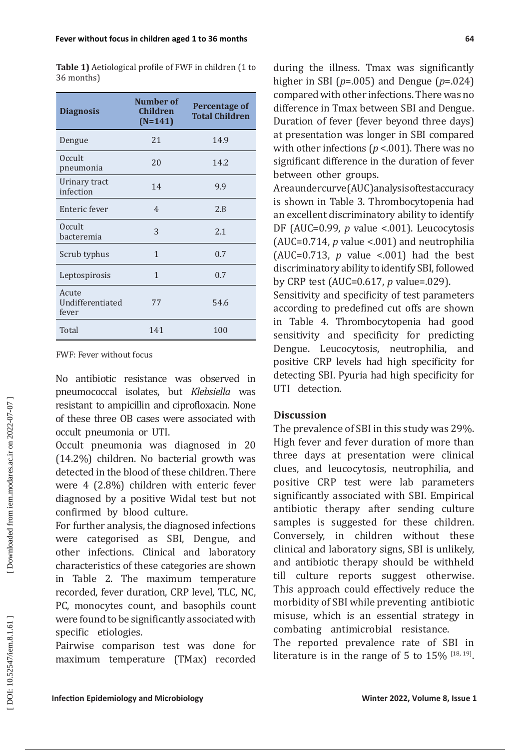| <b>Diagnosis</b>                   | Number of<br><b>Children</b><br>$(N=141)$ | <b>Percentage of</b><br><b>Total Children</b> |
|------------------------------------|-------------------------------------------|-----------------------------------------------|
| Dengue                             | 21                                        | 14.9                                          |
| Occult<br>pneumonia                | 20                                        | 14.2                                          |
| Urinary tract<br>infection         | 14                                        | 9.9                                           |
| Enteric fever                      | $\overline{4}$                            | 2.8                                           |
| <b>Occult</b><br>bacteremia        | 3                                         | 2.1                                           |
| Scrub typhus                       | $\mathbf{1}$                              | 0.7                                           |
| Leptospirosis                      | $\mathbf{1}$                              | 0.7                                           |
| Acute<br>Undifferentiated<br>fever | 77                                        | 54.6                                          |
| Total                              | 141                                       | 100                                           |

**Table 1)** Aetiological profile of FWF in children (1 to 36 months)

FWF: Fever without focus

No antibiotic resistance was observed in pneumococcal isolates, but *Klebsiella* was resistant to ampicillin and ciprofloxacin. None of these three OB cases were associated with occult pneumonia or UTI.

Occult pneumonia was diagnosed in 20 (14.2%) children. No bacterial growth was detected in the blood of these children. There were 4 (2.8%) children with enteric fever diagnosed by a positive Widal test but not confirmed by blood culture.

For further analysis, the diagnosed infections were categorised as SBI, Dengue, and other infections. Clinical and laboratory characteristics of these categories are shown in Table 2. The maximum temperature recorded, fever duration, CRP level, TLC, NC, PC, monocytes count, and basophils count were found to be significantly associated with specific etiologies.

Pairwise comparison test was done for maximum temperature (TMax) recorded during the illness. Tmax was significantly higher in SBI ( *p*=.005) and Dengue ( *p*=.024) compared with other infections. There was no difference in Tmax between SBI and Dengue. Duration of fever (fever beyond three days) at presentation was longer in SBI compared with other infections ( $p < 001$ ). There was no significant difference in the duration of fever between other groups.

Area under curve (AUC) analysis of test accuracy is shown in Table 3. Thrombocytopenia had an excellent discriminatory ability to identify DF (AUC=0.99, *p* value <.001). Leucocytosis (AUC=0.714, *p* value <.001) and neutrophilia (AUC=0.713,  $p$  value <.001) had the best discriminatory ability to identify SBI, followed by CRP test (AUC=0.617, *p* value=.029).

Sensitivity and specificity of test parameters according to predefined cut offs are shown in Table 4. Thrombocytopenia had good sensitivity and specificity for predicting Dengue. Leucocytosis, neutrophilia, and positive CRP levels had high specificity for detecting SBI. Pyuria had high specificity for UTI detection.

## **Discussion**

The prevalence of SBI in this study was 29%. High fever and fever duration of more than three days at presentation were clinical clues, and leucocytosis, neutrophilia, and positive CRP test were lab parameters significantly associated with SBI. Empirical antibiotic therapy after sending culture samples is suggested for these children. Conversely, in children without these clinical and laboratory signs, SBI is unlikely, and antibiotic therapy should be withheld till culture reports suggest otherwise. This approach could effectively reduce the morbidity of SBI while preventing antibiotic misuse, which is an essential strategy in combating antimicrobial resistance.

The reported prevalence rate of SBI in literature is in the range of 5 to  $15\%$  [18, 19].

DOI: 10.52547/iem.8.1.61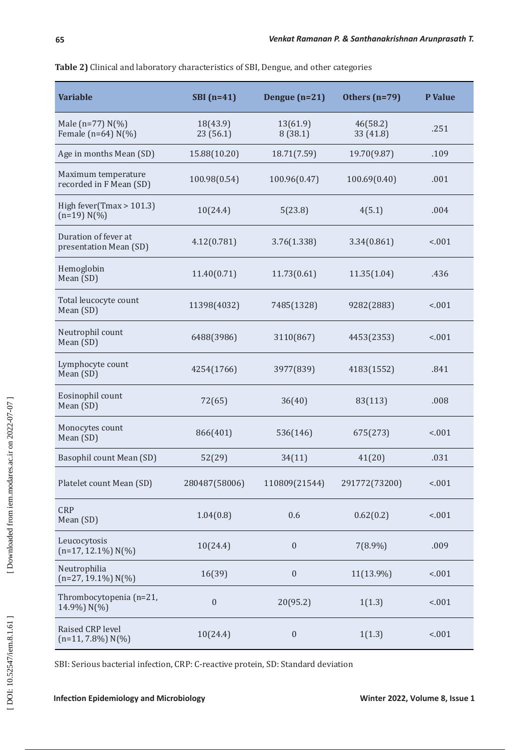| Table 2) Clinical and laboratory characteristics of SBI, Dengue, and other categories |  |
|---------------------------------------------------------------------------------------|--|
|---------------------------------------------------------------------------------------|--|

| <b>Variable</b>                                | $SBI(n=41)$           | Dengue $(n=21)$     | Others (n=79)         | P Value |
|------------------------------------------------|-----------------------|---------------------|-----------------------|---------|
| Male (n=77) $N(\%)$<br>Female ( $n=64$ ) N(%)  | 18(43.9)<br>23 (56.1) | 13(61.9)<br>8(38.1) | 46(58.2)<br>33 (41.8) | .251    |
| Age in months Mean (SD)                        | 15.88(10.20)          | 18.71(7.59)         | 19.70(9.87)           | .109    |
| Maximum temperature<br>recorded in F Mean (SD) | 100.98(0.54)          | 100.96(0.47)        | 100.69(0.40)          | .001    |
| High fever(Tmax $> 101.3$ )<br>$(n=19) N(\%)$  | 10(24.4)              | 5(23.8)             | 4(5.1)                | .004    |
| Duration of fever at<br>presentation Mean (SD) | 4.12(0.781)           | 3.76(1.338)         | 3.34(0.861)           | < .001  |
| Hemoglobin<br>Mean (SD)                        | 11.40(0.71)           | 11.73(0.61)         | 11.35(1.04)           | .436    |
| Total leucocyte count<br>Mean (SD)             | 11398(4032)           | 7485(1328)          | 9282(2883)            | < .001  |
| Neutrophil count<br>Mean (SD)                  | 6488(3986)            | 3110(867)           | 4453(2353)            | < .001  |
| Lymphocyte count<br>Mean (SD)                  | 4254(1766)            | 3977(839)           | 4183(1552)            | .841    |
| Eosinophil count<br>Mean (SD)                  | 72(65)                | 36(40)              | 83(113)               | .008    |
| Monocytes count<br>Mean (SD)                   | 866(401)              | 536(146)            | 675(273)              | < .001  |
| Basophil count Mean (SD)                       | 52(29)                | 34(11)              | 41(20)                | .031    |
| Platelet count Mean (SD)                       | 280487(58006)         | 110809(21544)       | 291772(73200)         | < .001  |
| <b>CRP</b><br>Mean (SD)                        | 1.04(0.8)             | 0.6                 | 0.62(0.2)             | < .001  |
| Leucocytosis<br>$(n=17, 12.1\%) N(\%)$         | 10(24.4)              | $\boldsymbol{0}$    | 7(8.9%)               | .009    |
| Neutrophilia<br>$(n=27, 19.1\%) N(\%)$         | 16(39)                | $\boldsymbol{0}$    | 11(13.9%)             | < .001  |
| Thrombocytopenia (n=21,<br>14.9%) N(%)         | $\boldsymbol{0}$      | 20(95.2)            | 1(1.3)                | < .001  |
| Raised CRP level<br>$(n=11, 7.8\%) N(\%)$      | 10(24.4)              | $\boldsymbol{0}$    | 1(1.3)                | < .001  |

SBI: Serious bacterial infection, CRP: C-reactive protein, SD: Standard deviation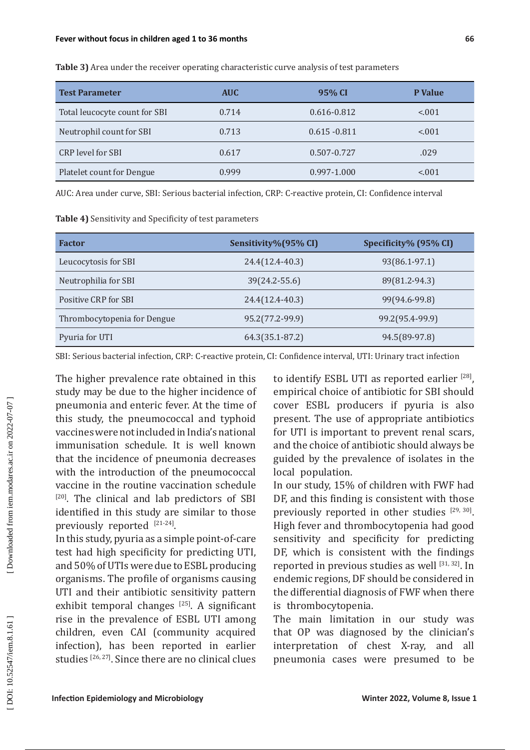| <b>Test Parameter</b>            | <b>AUC</b> | 95% CI          | <b>P</b> Value |
|----------------------------------|------------|-----------------|----------------|
| Total leucocyte count for SBI    | 0.714      | $0.616 - 0.812$ | < 0.01         |
| Neutrophil count for SBI         | 0.713      | $0.615 - 0.811$ | < 0.01         |
| CRP level for SBI                | 0.617      | 0.507-0.727     | .029           |
| <b>Platelet count for Dengue</b> | 0.999      | $0.997 - 1.000$ | < 0.01         |

**Table 3)** Area under the receiver operating characteristic curve analysis of test parameters

AUC: Area under curve, SBI: Serious bacterial infection, CRP: C-reactive protein, CI: Confidence interval

| Table 4) Sensitivity and Specificity of test parameters |  |
|---------------------------------------------------------|--|
|---------------------------------------------------------|--|

| <b>Factor</b>               | Sensitivity%(95% CI) | Specificity% (95% CI) |
|-----------------------------|----------------------|-----------------------|
| Leucocytosis for SBI        | 24.4(12.4-40.3)      | 93(86.1-97.1)         |
| Neutrophilia for SBI        | 39(24.2-55.6)        | 89(81.2-94.3)         |
| Positive CRP for SBI        | 24.4(12.4-40.3)      | 99(94.6-99.8)         |
| Thrombocytopenia for Dengue | 95.2(77.2-99.9)      | 99.2(95.4-99.9)       |
| Pyuria for UTI              | 64.3(35.1-87.2)      | 94.5(89-97.8)         |

SBI: Serious bacterial infection, CRP: C-reactive protein, CI: Confidence interval, UTI: Urinary tract infection

The higher prevalence rate obtained in this study may be due to the higher incidence of pneumonia and enteric fever. At the time of this study, the pneumococcal and typhoid vaccines were not included in India's national immunisation schedule. It is well known that the incidence of pneumonia decreases with the introduction of the pneumococcal vaccine in the routine vaccination schedule [20]. The clinical and lab predictors of SBI identified in this study are similar to those previously reported [21-24].

In this study, pyuria as a simple point-of-care test had high specificity for predicting UTI, and 50% of UTIs were due to ESBL producing organisms. The profile of organisms causing UTI and their antibiotic sensitivity pattern exhibit temporal changes  $[25]$ . A significant rise in the prevalence of ESBL UTI among children, even CAI (community acquired infection), has been reported in earlier studies <a>[26, 27]</a>. Since there are no clinical clues to identify ESBL UTI as reported earlier [28], empirical choice of antibiotic for SBI should cover ESBL producers if pyuria is also present. The use of appropriate antibiotics for UTI is important to prevent renal scars, and the choice of antibiotic should always be guided by the prevalence of isolates in the local population.

In our study, 15% of children with FWF had DF, and this finding is consistent with those previously reported in other studies  $[29, 30]$ . High fever and thrombocytopenia had good sensitivity and specificity for predicting DF, which is consistent with the findings reported in previous studies as well [31, 32]. In endemic regions, DF should be considered in the differential diagnosis of FWF when there is thrombocytopenia.

The main limitation in our study was that OP was diagnosed by the clinician's interpretation of chest X-ray, and all pneumonia cases were presumed to be

Downloaded from iem.modares.ac.ir on 2022-07-07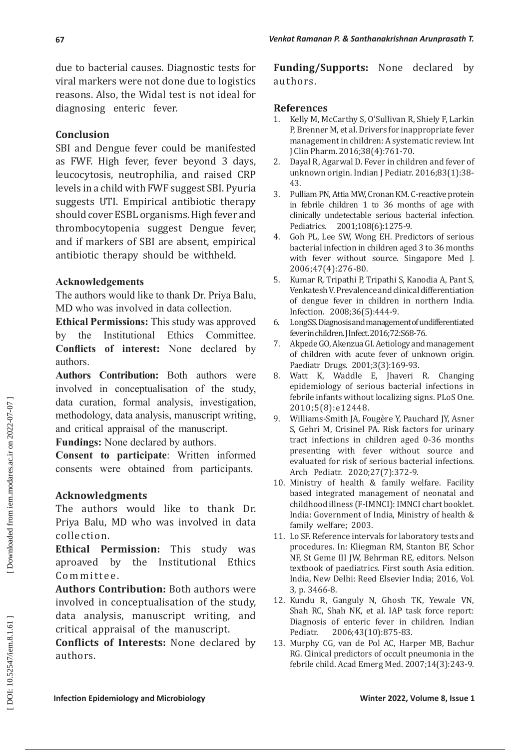due to bacterial causes. Diagnostic tests for viral markers were not done due to logistics reasons. Also, the Widal test is not ideal for diagnosing enteric fever.

## **Conclusion**

SBI and Dengue fever could be manifested as FWF. High fever, fever beyond 3 days, leucocytosis, neutrophilia, and raised CRP levels in a child with FWF suggest SBI. Pyuria suggests UTI. Empirical antibiotic therapy should cover ESBL organisms. High fever and thrombocytopenia suggest Dengue fever, and if markers of SBI are absent, empirical antibiotic therapy should be withheld.

## **Acknowledgements**

The authors would like to thank Dr. Priya Balu, MD who was involved in data collection.

**Ethical Permissions:** This study was approved by the Institutional Ethics Committee. **Conflicts of interest:** None declared by authors.

**Authors Contribution:** Both authors were involved in conceptualisation of the study, data curation, formal analysis, investigation, methodology, data analysis, manuscript writing, and critical appraisal of the manuscript.

**Fundings:** None declared by authors.

**Consent to participate**: Written informed consents were obtained from participants.

## **Acknowledgments**

The authors would like to thank Dr. Priya Balu, MD who was involved in data collection.

**Ethical Permission:** This study was aproaved by the Institutional Ethics Committee.

**Authors Contribution:** Both authors were involved in conceptualisation of the study, data analysis, manuscript writing, and critical appraisal of the manuscript.

**Conflicts of Interests:** None declared by authors.

**Funding/Supports:** None declared by authors.

### **References**

- 1. Kelly M, McCarthy S, O'Sullivan R, Shiely F, Larkin P, Brenner M, et al. Drivers for inappropriate fever management in children: A systematic review. Int J Clin Pharm. 2016;38(4):761-70.
- 2. Dayal R, Agarwal D. Fever in children and fever of unknown origin. Indian J Pediatr. 2016;83(1):38- 43.
- 3. Pulliam PN, Attia MW, Cronan KM. C-reactive protein in febrile children 1 to 36 months of age with clinically undetectable serious bacterial infection. Pediatrics. 2001;108(6):1275-9.
- 4. Goh PL, Lee SW, Wong EH. Predictors of serious bacterial infection in children aged 3 to 36 months with fever without source. Singapore Med J. 2006;47(4):276-80.
- 5. Kumar R, Tripathi P, Tripathi S, Kanodia A, Pant S, Venkatesh V. Prevalence and clinical differentiation of dengue fever in children in northern India. Infection. 2008;36(5):444-9.
- 6. Long SS. Diagnosis and management of undifferentiated fever in children. J Infect. 2016;72:S68-76.
- 7. Akpede GO, Akenzua GI. Aetiology and management of children with acute fever of unknown origin. Paediatr Drugs. 2001;3(3):169-93.
- 8. Watt K, Waddle E, Jhaveri R. Changing epidemiology of serious bacterial infections in febrile infants without localizing signs. PLoS One. 2010;5(8):e12448.
- 9. Williams-Smith JA, Fougère Y, Pauchard JY, Asner S, Gehri M, Crisinel PA. Risk factors for urinary tract infections in children aged 0-36 months presenting with fever without source and evaluated for risk of serious bacterial infections. Arch Pediatr. 2020;27(7):372-9.
- 10. Ministry of health & family welfare. Facility based integrated management of neonatal and childhood illness (F-IMNCI): IMNCI chart booklet. India: Government of India, Ministry of health & family welfare; 2003.
- 11. Lo SF. Reference intervals for laboratory tests and procedures. In: Kliegman RM, Stanton BF, Schor NF, St Geme III JW, Behrman RE, editors. Nelson textbook of paediatrics. First south Asia edition. India, New Delhi: Reed Elsevier India; 2016, Vol. 3, p. 3466-8.
- 12. Kundu R, Ganguly N, Ghosh TK, Yewale VN, Shah RC, Shah NK, et al. IAP task force report: Diagnosis of enteric fever in children. Indian<br>Pediatr. 2006:43(10):875-83. 2006;43(10):875-83.
- 13. Murphy CG, van de Pol AC, Harper MB, Bachur RG. Clinical predictors of occult pneumonia in the febrile child. Acad Emerg Med. 2007;14(3):243-9.